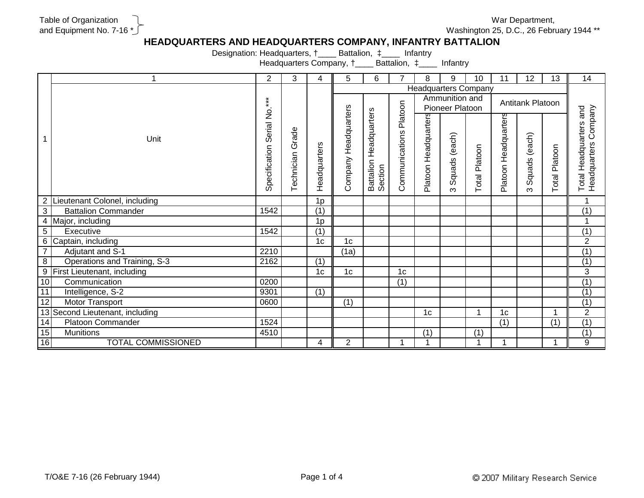## Table of Organization and Equipment No. 7-16 \*

Washington 25, D.C., 26 February 1944 \*\* War Department,

## **HEADQUARTERS AND HEADQUARTERS COMPANY, INFANTRY BATTALION**

Designation: Headquarters, †\_\_\_\_ Battalion, ‡\_\_\_\_ Infantry

Headquarters Company, †\_\_\_\_ Battalion, ‡\_\_\_\_ Infantry

|                 |                                 | 2             | 3          | 4              | 5              | 6                                 | 7              | 8                           | 9               | 10            | 11                   | 12 <sup>2</sup> | 13                   | 14                                |
|-----------------|---------------------------------|---------------|------------|----------------|----------------|-----------------------------------|----------------|-----------------------------|-----------------|---------------|----------------------|-----------------|----------------------|-----------------------------------|
|                 |                                 |               |            |                |                |                                   |                | <b>Headquarters Company</b> |                 |               |                      |                 |                      |                                   |
|                 |                                 |               |            |                |                |                                   |                |                             | Ammunition and  |               | Antitank Platoon     |                 |                      |                                   |
|                 |                                 |               |            |                |                |                                   |                |                             | Pioneer Platoon |               |                      |                 |                      |                                   |
|                 |                                 | Serial No.*** |            |                | Headquarters   | Battalion Headquarters<br>Section | Platoon        | Headquarters                |                 |               | Platoon Headquarters |                 |                      | Total Headquarters and<br>Company |
|                 | Unit                            |               | Grade      |                |                |                                   |                |                             |                 |               |                      |                 |                      |                                   |
|                 |                                 |               |            |                |                |                                   | Communications |                             | (each)          |               |                      | (each)          |                      |                                   |
|                 |                                 | Specification | Technician | Headquarters   |                |                                   |                |                             |                 | Total Platoon |                      |                 | <b>Total Platoon</b> | Headquarters                      |
|                 |                                 |               |            |                |                |                                   |                |                             |                 |               |                      |                 |                      |                                   |
|                 |                                 |               |            |                | Company        |                                   |                | Platoon I                   | Squads          |               |                      | Squads          |                      |                                   |
|                 |                                 |               |            |                |                |                                   |                |                             | ო               |               |                      | ო               |                      |                                   |
|                 | 2 Lieutenant Colonel, including |               |            | 1 <sub>p</sub> |                |                                   |                |                             |                 |               |                      |                 |                      | 1                                 |
| $\overline{3}$  | <b>Battalion Commander</b>      | 1542          |            | (1)            |                |                                   |                |                             |                 |               |                      |                 |                      | (1)                               |
|                 | 4 Major, including              |               |            | 1 <sub>p</sub> |                |                                   |                |                             |                 |               |                      |                 |                      | 1                                 |
| $5\phantom{.0}$ | Executive                       | 1542          |            | (1)            |                |                                   |                |                             |                 |               |                      |                 |                      | $\overline{(1)}$                  |
|                 | 6 Captain, including            |               |            | 1 <sub>c</sub> | 1 <sub>c</sub> |                                   |                |                             |                 |               |                      |                 |                      | $\overline{2}$                    |
| $\overline{7}$  | Adjutant and S-1                | 2210          |            |                | (1a)           |                                   |                |                             |                 |               |                      |                 |                      | $\overline{(1)}$                  |
| $\overline{8}$  | Operations and Training, S-3    | 2162          |            | (1)            |                |                                   |                |                             |                 |               |                      |                 |                      | $\overline{(1)}$                  |
| 9               | First Lieutenant, including     |               |            | 1 <sub>c</sub> | 1 <sub>c</sub> |                                   | 1 <sub>c</sub> |                             |                 |               |                      |                 |                      | $\overline{3}$                    |
| 10              | Communication                   | 0200          |            |                |                |                                   | (1)            |                             |                 |               |                      |                 |                      | (1)                               |
| 11              | Intelligence, S-2               | 9301          |            | (1)            |                |                                   |                |                             |                 |               |                      |                 |                      | $\overline{(1)}$                  |
| 12              | <b>Motor Transport</b>          | 0600          |            |                | (1)            |                                   |                |                             |                 |               |                      |                 |                      | $\overline{(1)}$                  |
|                 | 13 Second Lieutenant, including |               |            |                |                |                                   |                | 1 <sub>c</sub>              |                 | 4             | 1 <sub>c</sub>       |                 | $\overline{A}$       | $\overline{2}$                    |
| 14              | <b>Platoon Commander</b>        | 1524          |            |                |                |                                   |                |                             |                 |               | (1)                  |                 | (1)                  | $\overline{(1)}$                  |
| 15              | <b>Munitions</b>                | 4510          |            |                |                |                                   |                | (1)                         |                 | (1)           |                      |                 |                      | (1)                               |
| 16              | <b>TOTAL COMMISSIONED</b>       |               |            | 4              | $\overline{2}$ |                                   |                |                             |                 | 1             | 4                    |                 | 1                    | 9                                 |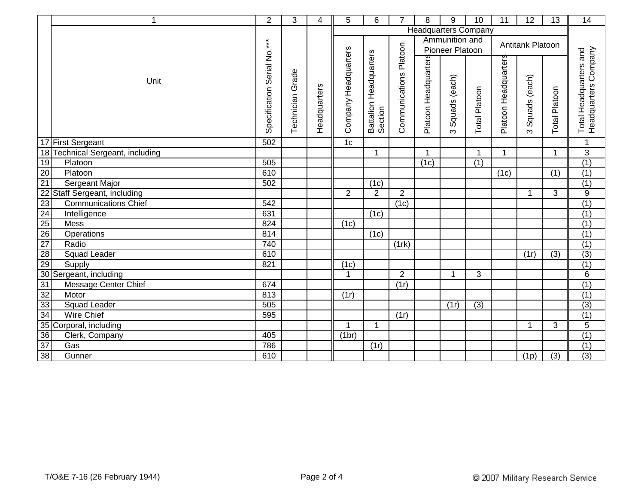|                                                                    | $\mathbf{1}$                     | $\overline{2}$              | 3                | $\overline{4}$ | 5                    | 6                                 | $\overline{7}$         | 8                           | 9               | 10               | 11                   | 12               | 13               | 14                                             |
|--------------------------------------------------------------------|----------------------------------|-----------------------------|------------------|----------------|----------------------|-----------------------------------|------------------------|-----------------------------|-----------------|------------------|----------------------|------------------|------------------|------------------------------------------------|
|                                                                    |                                  |                             |                  |                |                      |                                   |                        | <b>Headquarters Company</b> |                 |                  |                      |                  |                  |                                                |
|                                                                    |                                  |                             |                  |                |                      |                                   |                        |                             | Ammunition and  |                  |                      | Antitank Platoon |                  |                                                |
|                                                                    |                                  |                             |                  |                |                      |                                   |                        |                             | Pioneer Platoon |                  |                      |                  |                  |                                                |
|                                                                    |                                  |                             |                  |                |                      |                                   |                        |                             |                 |                  |                      |                  |                  |                                                |
|                                                                    |                                  |                             |                  |                |                      |                                   |                        |                             |                 |                  |                      |                  |                  |                                                |
|                                                                    | Unit                             |                             |                  |                |                      |                                   |                        |                             |                 |                  |                      |                  |                  |                                                |
|                                                                    |                                  |                             |                  |                |                      |                                   |                        |                             | Squads (each)   |                  |                      | Squads (each)    |                  |                                                |
|                                                                    |                                  |                             |                  |                |                      |                                   |                        |                             |                 |                  |                      |                  |                  |                                                |
|                                                                    |                                  |                             |                  |                |                      |                                   |                        |                             |                 |                  |                      |                  |                  |                                                |
|                                                                    |                                  | Specification Serial No.*** | Technician Grade | Headquarters   | Company Headquarters | Battalion Headquarters<br>Section | Communications Platoon | Platoon Headquarters        | ო               | Total Platoon    | Platoon Headquarters | ო                | Total Platoon    | Headquarters Company<br>Total Headquarters and |
|                                                                    | 17 First Sergeant                | 502                         |                  |                | 1 <sub>c</sub>       |                                   |                        |                             |                 |                  |                      |                  |                  | $\mathbf{1}$                                   |
|                                                                    | 18 Technical Sergeant, including |                             |                  |                |                      | $\mathbf{1}$                      |                        | 1                           |                 | 1                | $\mathbf{1}$         |                  | $\mathbf{1}$     | $\overline{3}$                                 |
| 19                                                                 | Platoon                          | 505                         |                  |                |                      |                                   |                        | (1c)                        |                 | (1)              |                      |                  |                  | (1)                                            |
| $\overline{20}$                                                    | Platoon                          | 610                         |                  |                |                      |                                   |                        |                             |                 |                  | (1c)                 |                  | $\overline{(1)}$ | (1)                                            |
| 21                                                                 | Sergeant Major                   | 502                         |                  |                |                      | (1c)                              |                        |                             |                 |                  |                      |                  |                  | (1)                                            |
|                                                                    | 22 Staff Sergeant, including     |                             |                  |                | $\overline{2}$       | $\overline{2}$                    | $\overline{2}$         |                             |                 |                  |                      | $\mathbf 1$      | 3                | $\overline{9}$                                 |
| 23                                                                 | <b>Communications Chief</b>      | 542                         |                  |                |                      |                                   | (1c)                   |                             |                 |                  |                      |                  |                  | (1)                                            |
| $\begin{array}{r} \hline 24 \\ \hline 25 \\ \hline 26 \end{array}$ | Intelligence                     | 631                         |                  |                |                      | (1c)                              |                        |                             |                 |                  |                      |                  |                  | (1)                                            |
|                                                                    | Mess                             | 824                         |                  |                | (1c)                 |                                   |                        |                             |                 |                  |                      |                  |                  | (1)                                            |
|                                                                    | Operations                       | 814                         |                  |                |                      | (1c)                              |                        |                             |                 |                  |                      |                  |                  | (1)                                            |
| 27                                                                 | Radio                            | 740                         |                  |                |                      |                                   | $(1$ rk)               |                             |                 |                  |                      |                  |                  | (1)                                            |
| 28                                                                 | <b>Squad Leader</b>              | 610                         |                  |                |                      |                                   |                        |                             |                 |                  |                      | (1r)             | (3)              | $\overline{(3)}$                               |
| 29                                                                 | Supply                           | 821                         |                  |                | (1c)                 |                                   |                        |                             |                 |                  |                      |                  |                  | (1)                                            |
|                                                                    | 30 Sergeant, including           |                             |                  |                | $\mathbf{1}$         |                                   | $\overline{2}$         |                             | 1               | 3                |                      |                  |                  | $\overline{6}$                                 |
| 31                                                                 | <b>Message Center Chief</b>      | 674                         |                  |                |                      |                                   | (1r)                   |                             |                 |                  |                      |                  |                  | (1)                                            |
| 32                                                                 | Motor                            | 813                         |                  |                | (1r)                 |                                   |                        |                             |                 |                  |                      |                  |                  | (1)                                            |
| 33                                                                 | <b>Squad Leader</b>              | 505                         |                  |                |                      |                                   |                        |                             | (1r)            | $\overline{(3)}$ |                      |                  |                  | $\overline{3}$                                 |
| 34                                                                 | Wire Chief                       | 595                         |                  |                |                      |                                   | (1r)                   |                             |                 |                  |                      |                  |                  | $\overline{(1)}$                               |
|                                                                    | 35 Corporal, including           |                             |                  |                | 1                    | 1                                 |                        |                             |                 |                  |                      | -1               | 3                | $\overline{5}$                                 |
| $\overline{36}$                                                    | Clerk, Company                   | 405                         |                  |                | (1br)                |                                   |                        |                             |                 |                  |                      |                  |                  | (1)                                            |
| $\overline{37}$                                                    | Gas                              | 786                         |                  |                |                      | (1r)                              |                        |                             |                 |                  |                      |                  |                  | (1)                                            |
| 38                                                                 | Gunner                           | 610                         |                  |                |                      |                                   |                        |                             |                 |                  |                      | (1p)             | $\overline{(3)}$ | $\overline{(3)}$                               |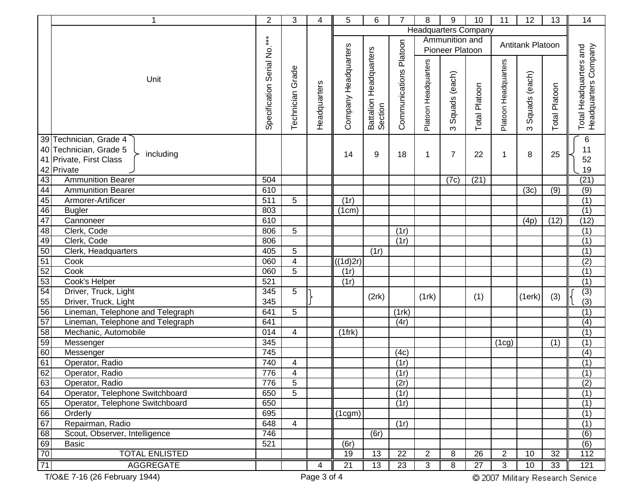| 1                                                   | $\overline{2}$              | 3                | 4            | 5                     | 6                                 | $\overline{7}$         | 8                           | 9               | 10            | 11                   | 12               | 13                   | 14                                             |
|-----------------------------------------------------|-----------------------------|------------------|--------------|-----------------------|-----------------------------------|------------------------|-----------------------------|-----------------|---------------|----------------------|------------------|----------------------|------------------------------------------------|
|                                                     |                             |                  |              |                       |                                   |                        | <b>Headquarters Company</b> |                 |               |                      |                  |                      |                                                |
|                                                     |                             |                  |              |                       |                                   |                        |                             | Ammunition and  |               |                      | Antitank Platoon |                      |                                                |
|                                                     |                             |                  |              |                       |                                   |                        |                             | Pioneer Platoon |               |                      |                  |                      |                                                |
|                                                     | Specification Serial No.*** |                  |              | Company Headquarters  | Battalion Headquarters<br>Section | Communications Platoon |                             |                 |               |                      |                  |                      | Total Headquarters and<br>Headquarters Company |
|                                                     |                             | Technician Grade |              |                       |                                   |                        | Platoon Headquarters        |                 |               | Platoon Headquarters |                  |                      |                                                |
| Unit                                                |                             |                  |              |                       |                                   |                        |                             | Squads (each)   |               |                      | Squads (each)    |                      |                                                |
|                                                     |                             |                  |              |                       |                                   |                        |                             |                 |               |                      |                  |                      |                                                |
|                                                     |                             |                  |              |                       |                                   |                        |                             |                 |               |                      |                  |                      |                                                |
|                                                     |                             |                  |              |                       |                                   |                        |                             |                 |               |                      |                  |                      |                                                |
|                                                     |                             |                  | Headquarters |                       |                                   |                        |                             |                 | Total Platoon |                      |                  | <b>Total Platoon</b> |                                                |
|                                                     |                             |                  |              |                       |                                   |                        |                             | ო               |               |                      | $\infty$         |                      |                                                |
| 39 Technician, Grade 4                              |                             |                  |              |                       |                                   |                        |                             |                 |               |                      |                  |                      | $\,6$                                          |
| 40 Technician, Grade 5<br>including                 |                             |                  |              | 14                    | 9                                 | 18                     | 1                           | 7               | 22            | 1                    | 8                | 25                   | 11                                             |
| 41 Private, First Class                             |                             |                  |              |                       |                                   |                        |                             |                 |               |                      |                  |                      | 52                                             |
| 42 Private                                          |                             |                  |              |                       |                                   |                        |                             |                 |               |                      |                  |                      | 19                                             |
| 43<br><b>Ammunition Bearer</b>                      | 504                         |                  |              |                       |                                   |                        |                             | (7c)            | (21)          |                      |                  |                      | (21)                                           |
| 44<br><b>Ammunition Bearer</b>                      | 610                         |                  |              |                       |                                   |                        |                             |                 |               |                      | (3c)             | (9)                  | $\overline{(9)}$                               |
| 45<br>Armorer-Artificer                             | 511                         | 5                |              | (1r)                  |                                   |                        |                             |                 |               |                      |                  |                      | (1)                                            |
| 46<br><b>Bugler</b><br>47<br>Cannoneer              | 803<br>610                  |                  |              | (1cm)                 |                                   |                        |                             |                 |               |                      |                  |                      | (1)<br>(12)                                    |
| 48                                                  | 806                         |                  |              |                       |                                   |                        |                             |                 |               |                      | (4p)             | (12)                 |                                                |
| Clerk, Code<br>Clerk, Code                          | 806                         | 5                |              |                       |                                   | (1r)<br>(1r)           |                             |                 |               |                      |                  |                      | (1)                                            |
| 49<br>50                                            | 405                         | $\sqrt{5}$       |              |                       | (1r)                              |                        |                             |                 |               |                      |                  |                      | (1)<br>(1)                                     |
| Clerk, Headquarters<br>51<br>Cook                   | 060                         | 4                |              | ((1d)2r)              |                                   |                        |                             |                 |               |                      |                  |                      | (2)                                            |
| Cook                                                | 060                         | 5                |              | (1r)                  |                                   |                        |                             |                 |               |                      |                  |                      | $\overline{(1)}$                               |
| $\frac{52}{53}$<br>Cook's Helper                    | 521                         |                  |              | (1r)                  |                                   |                        |                             |                 |               |                      |                  |                      | $\overline{(1)}$                               |
| 54<br>Driver, Truck, Light                          | 345                         | 5                |              |                       |                                   |                        |                             |                 |               |                      |                  |                      | (3)                                            |
| Driver, Truck, Light                                | 345                         |                  |              |                       | (2rk)                             |                        | (1rk)                       |                 | (1)           |                      | (1erk)           | (3)                  | (3)                                            |
| $\frac{55}{56}$<br>Lineman, Telephone and Telegraph | 641                         | 5                |              |                       |                                   | (1rk)                  |                             |                 |               |                      |                  |                      | $\overline{(1)}$                               |
| $\overline{57}$<br>Lineman, Telephone and Telegraph | 641                         |                  |              |                       |                                   | (4r)                   |                             |                 |               |                      |                  |                      | (4)                                            |
| 58<br>Mechanic, Automobile                          | 014                         | $\overline{4}$   |              | $(1$ frk $)$          |                                   |                        |                             |                 |               |                      |                  |                      | (1)                                            |
| Messenger                                           | 345                         |                  |              |                       |                                   |                        |                             |                 |               | (1cg)                |                  | (1)                  | $\overline{(1)}$                               |
| $\frac{59}{60}$<br>Messenger                        | 745                         |                  |              |                       |                                   | (4c)                   |                             |                 |               |                      |                  |                      | (4)                                            |
| 61<br>Operator, Radio                               | 740                         | 4                |              |                       |                                   | (1r)                   |                             |                 |               |                      |                  |                      | $\overline{(1)}$                               |
| 62<br>Operator, Radio                               | 776                         | 4                |              |                       |                                   | (1r)                   |                             |                 |               |                      |                  |                      | $\overline{(1)}$                               |
| 63<br>Operator, Radio                               | 776                         | $\overline{5}$   |              |                       |                                   | (2r)                   |                             |                 |               |                      |                  |                      | (2)                                            |
| Operator, Telephone Switchboard                     | 650                         | 5                |              |                       |                                   | (1r)                   |                             |                 |               |                      |                  |                      | $\overline{(1)}$                               |
| $\frac{64}{65}$<br>Operator, Telephone Switchboard  | 650                         |                  |              |                       |                                   | (1r)                   |                             |                 |               |                      |                  |                      | (1)                                            |
| Orderly                                             | 695                         |                  |              | $\overline{1}$ (1cgm) |                                   |                        |                             |                 |               |                      |                  |                      | (1)                                            |
| 67<br>Repairman, Radio                              | 648                         | $\overline{4}$   |              |                       |                                   | (1r)                   |                             |                 |               |                      |                  |                      | $\overline{(1)}$                               |
| 68<br>Scout, Observer, Intelligence                 | 746                         |                  |              |                       | (6r)                              |                        |                             |                 |               |                      |                  |                      | (6)                                            |
| 69<br><b>Basic</b>                                  | 521                         |                  |              | (6r)                  |                                   |                        |                             |                 |               |                      |                  |                      | $\overline{(6)}$                               |
| 70<br><b>TOTAL ENLISTED</b>                         |                             |                  |              | 19                    | 13                                | $\overline{22}$        | $\overline{2}$              | 8               | 26            | $\overline{2}$       | 10               | 32                   | $\overline{112}$                               |
| 71<br><b>AGGREGATE</b>                              |                             |                  | 4            | 21                    | 13                                | 23                     | 3                           | 8               | 27            | 3                    | 10               | 33                   | 121                                            |
|                                                     |                             |                  |              |                       |                                   |                        |                             |                 |               |                      |                  |                      |                                                |